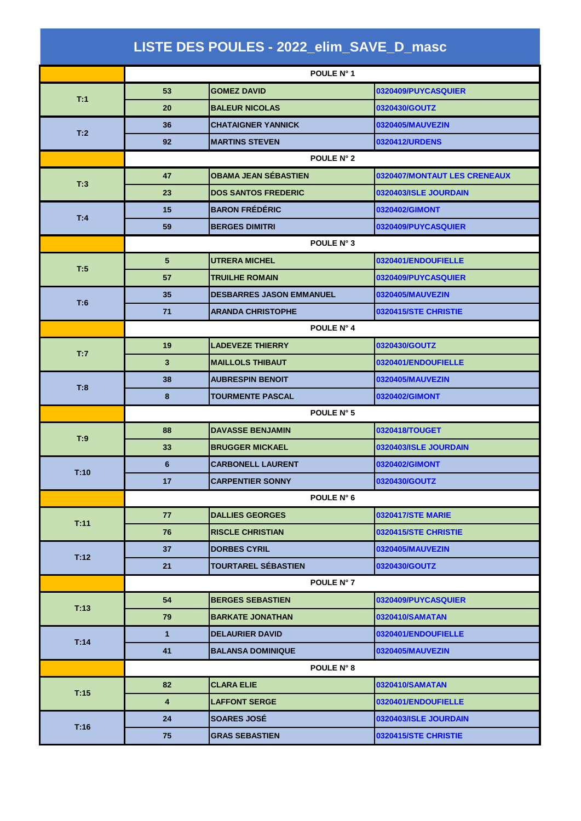|      |                         | LISTE DES POULES - 2022_elim_SAVE_D_masc |                              |  |  |
|------|-------------------------|------------------------------------------|------------------------------|--|--|
|      | POULE N° 1              |                                          |                              |  |  |
| T:1  | 53                      | <b>GOMEZ DAVID</b>                       | 0320409/PUYCASQUIER          |  |  |
|      | 20                      | <b>BALEUR NICOLAS</b>                    | 0320430/GOUTZ                |  |  |
| T:2  | 36                      | <b>CHATAIGNER YANNICK</b>                | 0320405/MAUVEZIN             |  |  |
|      | 92                      | <b>MARTINS STEVEN</b>                    | 0320412/URDENS               |  |  |
|      | POULE N° 2              |                                          |                              |  |  |
| T:3  | 47                      | <b>OBAMA JEAN SÉBASTIEN</b>              | 0320407/MONTAUT LES CRENEAUX |  |  |
|      | 23                      | <b>DOS SANTOS FREDERIC</b>               | 0320403/ISLE JOURDAIN        |  |  |
| T:4  | 15                      | <b>BARON FRÉDÉRIC</b>                    | 0320402/GIMONT               |  |  |
|      | 59                      | <b>BERGES DIMITRI</b>                    | 0320409/PUYCASQUIER          |  |  |
|      | POULE N° 3              |                                          |                              |  |  |
| T:5  | 5                       | <b>UTRERA MICHEL</b>                     | 0320401/ENDOUFIELLE          |  |  |
|      | 57                      | <b>TRUILHE ROMAIN</b>                    | 0320409/PUYCASQUIER          |  |  |
| T:6  | 35                      | <b>DESBARRES JASON EMMANUEL</b>          | 0320405/MAUVEZIN             |  |  |
|      | 71                      | <b>ARANDA CHRISTOPHE</b>                 | 0320415/STE CHRISTIE         |  |  |
|      | POULE N° 4              |                                          |                              |  |  |
| T:7  | 19                      | <b>LADEVEZE THIERRY</b>                  | 0320430/GOUTZ                |  |  |
|      | 3                       | <b>MAILLOLS THIBAUT</b>                  | 0320401/ENDOUFIELLE          |  |  |
|      | 38                      | <b>AUBRESPIN BENOIT</b>                  | 0320405/MAUVEZIN             |  |  |
| T:8  | 8                       | <b>TOURMENTE PASCAL</b>                  | 0320402/GIMONT               |  |  |
|      | POULE N° 5              |                                          |                              |  |  |
| T:9  | 88                      | <b>DAVASSE BENJAMIN</b>                  | 0320418/TOUGET               |  |  |
|      | 33                      | <b>BRUGGER MICKAEL</b>                   | 0320403/ISLE JOURDAIN        |  |  |
| T:10 | 6                       | <b>CARBONELL LAURENT</b>                 | 0320402/GIMONT               |  |  |
|      | 17                      | <b>CARPENTIER SONNY</b>                  | 0320430/GOUTZ                |  |  |
|      |                         | POULE N° 6                               |                              |  |  |
| T:11 | 77                      | <b>DALLIES GEORGES</b>                   | <b>0320417/STE MARIE</b>     |  |  |
|      | 76                      | <b>RISCLE CHRISTIAN</b>                  | 0320415/STE CHRISTIE         |  |  |
| T:12 | 37                      | <b>DORBES CYRIL</b>                      | 0320405/MAUVEZIN             |  |  |
|      | 21                      | <b>TOURTAREL SÉBASTIEN</b>               | 0320430/GOUTZ                |  |  |
|      |                         | POULE N° 7                               |                              |  |  |
| T:13 | 54                      | <b>BERGES SEBASTIEN</b>                  | 0320409/PUYCASQUIER          |  |  |
|      | 79                      | <b>BARKATE JONATHAN</b>                  | 0320410/SAMATAN              |  |  |
| T:14 | 1                       | <b>DELAURIER DAVID</b>                   | 0320401/ENDOUFIELLE          |  |  |
|      | 41                      | <b>BALANSA DOMINIQUE</b>                 | 0320405/MAUVEZIN             |  |  |
|      |                         | POULE N° 8                               |                              |  |  |
| T:15 | 82                      | <b>CLARA ELIE</b>                        | 0320410/SAMATAN              |  |  |
|      | $\overline{\mathbf{4}}$ | <b>LAFFONT SERGE</b>                     | 0320401/ENDOUFIELLE          |  |  |
| T:16 | 24                      | <b>SOARES JOSÉ</b>                       | 0320403/ISLE JOURDAIN        |  |  |
|      | 75                      | <b>GRAS SEBASTIEN</b>                    | 0320415/STE CHRISTIE         |  |  |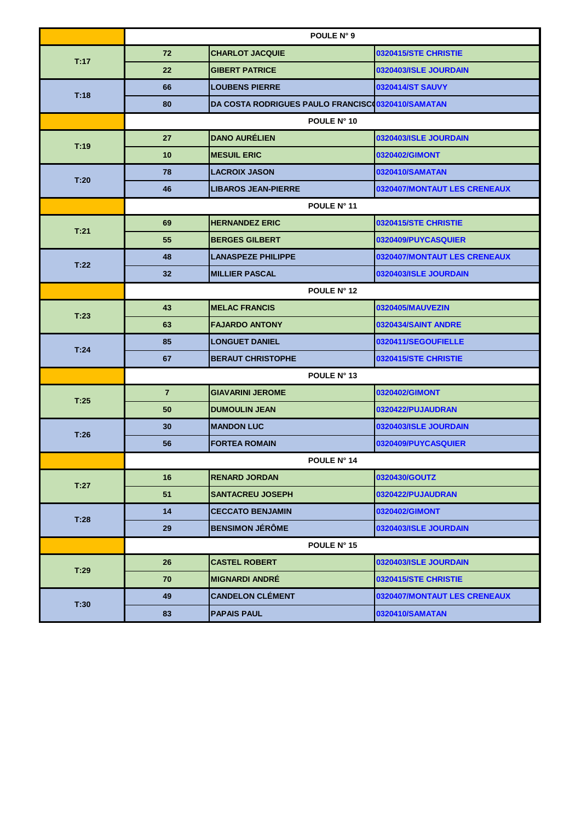|      | POULE N° 9     |                                                   |                              |  |
|------|----------------|---------------------------------------------------|------------------------------|--|
| T:17 | 72             | <b>CHARLOT JACQUIE</b>                            | 0320415/STE CHRISTIE         |  |
|      | 22             | <b>GIBERT PATRICE</b>                             | 0320403/ISLE JOURDAIN        |  |
| T.18 | 66             | <b>LOUBENS PIERRE</b>                             | 0320414/ST SAUVY             |  |
|      | 80             | DA COSTA RODRIGUES PAULO FRANCISCO0320410/SAMATAN |                              |  |
|      | POULE N° 10    |                                                   |                              |  |
| T:19 | 27             | <b>DANO AURÉLIEN</b>                              | 0320403/ISLE JOURDAIN        |  |
|      | 10             | <b>MESUIL ERIC</b>                                | 0320402/GIMONT               |  |
| T:20 | 78             | <b>LACROIX JASON</b>                              | 0320410/SAMATAN              |  |
|      | 46             | <b>LIBAROS JEAN-PIERRE</b>                        | 0320407/MONTAUT LES CRENEAUX |  |
|      | POULE N° 11    |                                                   |                              |  |
| T:21 | 69             | <b>HERNANDEZ ERIC</b>                             | 0320415/STE CHRISTIE         |  |
|      | 55             | <b>BERGES GILBERT</b>                             | 0320409/PUYCASQUIER          |  |
| T:22 | 48             | <b>LANASPEZE PHILIPPE</b>                         | 0320407/MONTAUT LES CRENEAUX |  |
|      | 32             | <b>MILLIER PASCAL</b>                             | 0320403/ISLE JOURDAIN        |  |
|      | POULE N° 12    |                                                   |                              |  |
|      | 43             | <b>MELAC FRANCIS</b>                              | 0320405/MAUVEZIN             |  |
| T:23 | 63             | <b>FAJARDO ANTONY</b>                             | 0320434/SAINT ANDRE          |  |
|      | 85             | <b>LONGUET DANIEL</b>                             | 0320411/SEGOUFIELLE          |  |
| T.24 | 67             | <b>BERAUT CHRISTOPHE</b>                          | 0320415/STE CHRISTIE         |  |
|      |                | POULE N° 13                                       |                              |  |
|      | $\overline{7}$ | <b>GIAVARINI JEROME</b>                           | 0320402/GIMONT               |  |
| T:25 | 50             | <b>DUMOULIN JEAN</b>                              | 0320422/PUJAUDRAN            |  |
| T:26 | 30             | <b>MANDON LUC</b>                                 | 0320403/ISLE JOURDAIN        |  |
|      | 56             | <b>FORTEA ROMAIN</b>                              | 0320409/PUYCASQUIER          |  |
|      |                | POULE N° 14                                       |                              |  |
| T:27 | 16             | <b>RENARD JORDAN</b>                              | 0320430/GOUTZ                |  |
|      | 51             | <b>SANTACREU JOSEPH</b>                           | 0320422/PUJAUDRAN            |  |
| T:28 | 14             | <b>CECCATO BENJAMIN</b>                           | 0320402/GIMONT               |  |
|      | 29             | <b>BENSIMON JÉRÔME</b>                            | 0320403/ISLE JOURDAIN        |  |
|      |                | POULE N° 15                                       |                              |  |
| T:29 | 26             | <b>CASTEL ROBERT</b>                              | 0320403/ISLE JOURDAIN        |  |
|      | 70             | <b>MIGNARDI ANDRE</b>                             | 0320415/STE CHRISTIE         |  |
| T:30 | 49             | <b>CANDELON CLÉMENT</b>                           | 0320407/MONTAUT LES CRENEAUX |  |
|      | 83             | <b>PAPAIS PAUL</b>                                | 0320410/SAMATAN              |  |